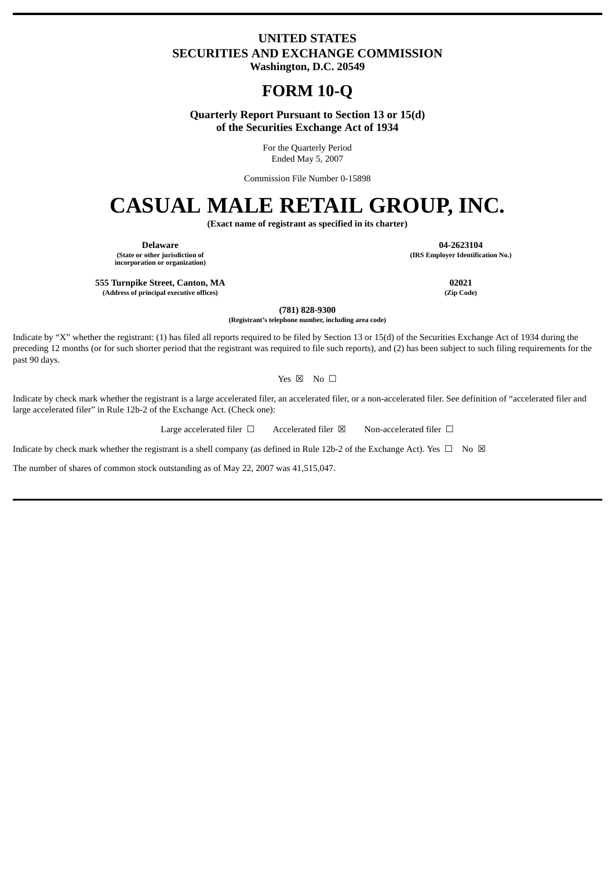## **UNITED STATES SECURITIES AND EXCHANGE COMMISSION Washington, D.C. 20549**

## **FORM 10-Q**

**Quarterly Report Pursuant to Section 13 or 15(d) of the Securities Exchange Act of 1934**

> For the Quarterly Period Ended May 5, 2007

Commission File Number 0-15898

# **CASUAL MALE RETAIL GROUP, INC.**

**(Exact name of registrant as specified in its charter)**

**Delaware 04-2623104 (State or other jurisdiction of incorporation or organization)**

**555 Turnpike Street, Canton, MA 02021**

**(Address of principal executive offices) (Zip Code)**

**(781) 828-9300**

**(Registrant's telephone number, including area code)**

Indicate by "X" whether the registrant: (1) has filed all reports required to be filed by Section 13 or 15(d) of the Securities Exchange Act of 1934 during the preceding 12 months (or for such shorter period that the registrant was required to file such reports), and (2) has been subject to such filing requirements for the past 90 days.

Yes ⊠ No □

Indicate by check mark whether the registrant is a large accelerated filer, an accelerated filer, or a non-accelerated filer. See definition of "accelerated filer and large accelerated filer" in Rule 12b-2 of the Exchange Act. (Check one):

Large accelerated filer □ Accelerated filer ⊠ Non-accelerated filer □

Indicate by check mark whether the registrant is a shell company (as defined in Rule 12b-2 of the Exchange Act). Yes  $\Box$  No  $\boxtimes$ 

The number of shares of common stock outstanding as of May 22, 2007 was 41,515,047.

**(IRS Employer Identification No.)**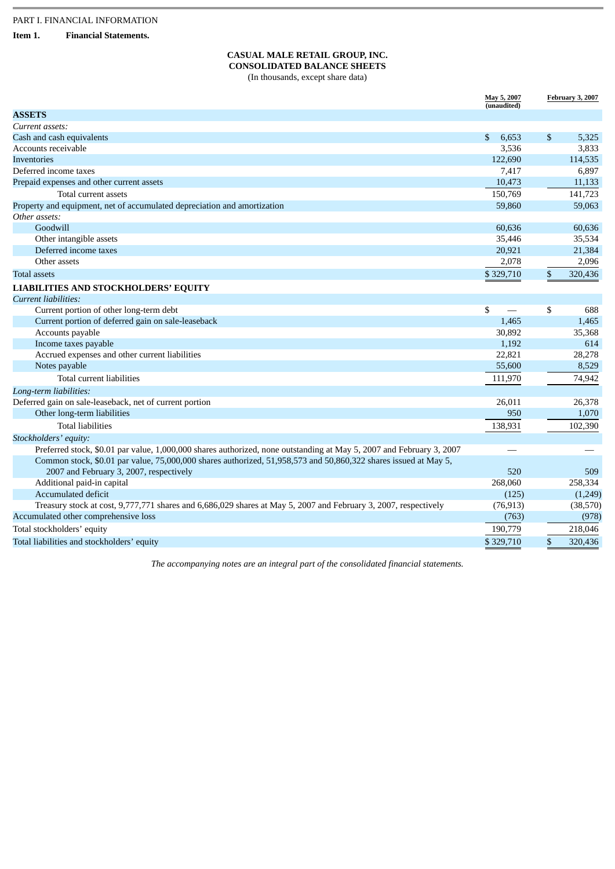**Item 1. Financial Statements.**

## **CASUAL MALE RETAIL GROUP, INC. CONSOLIDATED BALANCE SHEETS**

(In thousands, except share data)

|                                                                                                                      | May 5, 2007 |              | <b>February 3, 2007</b> |
|----------------------------------------------------------------------------------------------------------------------|-------------|--------------|-------------------------|
| <b>ASSETS</b>                                                                                                        | (unaudited) |              |                         |
| Current assets:                                                                                                      |             |              |                         |
| Cash and cash equivalents                                                                                            | \$<br>6,653 | $\mathbb{S}$ | 5,325                   |
| Accounts receivable                                                                                                  | 3,536       |              | 3,833                   |
| Inventories                                                                                                          | 122,690     |              | 114,535                 |
| Deferred income taxes                                                                                                | 7,417       |              | 6,897                   |
| Prepaid expenses and other current assets                                                                            | 10,473      |              | 11,133                  |
| Total current assets                                                                                                 | 150,769     |              | 141,723                 |
| Property and equipment, net of accumulated depreciation and amortization                                             | 59,860      |              | 59,063                  |
| Other assets:                                                                                                        |             |              |                         |
| Goodwill                                                                                                             | 60,636      |              | 60,636                  |
| Other intangible assets                                                                                              | 35,446      |              | 35,534                  |
| Deferred income taxes                                                                                                | 20,921      |              | 21,384                  |
| Other assets                                                                                                         | 2,078       |              | 2,096                   |
| Total assets                                                                                                         | \$329,710   | \$           | 320,436                 |
|                                                                                                                      |             |              |                         |
| <b>LIABILITIES AND STOCKHOLDERS' EQUITY</b>                                                                          |             |              |                         |
| <b>Current liabilities:</b>                                                                                          |             |              |                         |
| Current portion of other long-term debt                                                                              | \$          | \$           | 688                     |
| Current portion of deferred gain on sale-leaseback                                                                   | 1,465       |              | 1,465                   |
| Accounts payable                                                                                                     | 30,892      |              | 35,368                  |
| Income taxes payable                                                                                                 | 1,192       |              | 614                     |
| Accrued expenses and other current liabilities                                                                       | 22,821      |              | 28,278                  |
| Notes payable                                                                                                        | 55,600      |              | 8,529                   |
| Total current liabilities                                                                                            | 111,970     |              | 74,942                  |
| Long-term liabilities:                                                                                               |             |              |                         |
| Deferred gain on sale-leaseback, net of current portion                                                              | 26,011      |              | 26,378                  |
| Other long-term liabilities                                                                                          | 950         |              | 1,070                   |
| <b>Total liabilities</b>                                                                                             | 138,931     |              | 102,390                 |
| Stockholders' equity:                                                                                                |             |              |                         |
| Preferred stock, \$0.01 par value, 1,000,000 shares authorized, none outstanding at May 5, 2007 and February 3, 2007 |             |              |                         |
| Common stock, \$0.01 par value, 75,000,000 shares authorized, 51,958,573 and 50,860,322 shares issued at May 5,      |             |              |                         |
| 2007 and February 3, 2007, respectively                                                                              | 520         |              | 509                     |
| Additional paid-in capital                                                                                           | 268,060     |              | 258,334                 |
| <b>Accumulated deficit</b>                                                                                           | (125)       |              | (1,249)                 |
| Treasury stock at cost, 9,777,771 shares and 6,686,029 shares at May 5, 2007 and February 3, 2007, respectively      | (76, 913)   |              | (38,570)                |
| Accumulated other comprehensive loss                                                                                 | (763)       |              | (978)                   |
| Total stockholders' equity                                                                                           | 190,779     |              | 218,046                 |
| Total liabilities and stockholders' equity                                                                           | \$329,710   | \$           | 320,436                 |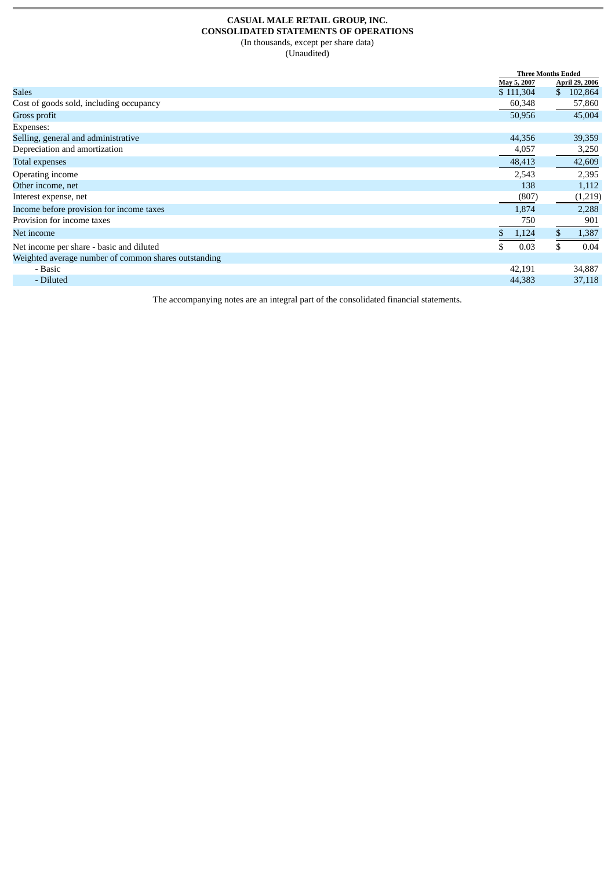#### **CASUAL MALE RETAIL GROUP, INC. CONSOLIDATED STATEMENTS OF OPERATIONS** (In thousands, except per share data) (Unaudited)

 **Three Months Ended May 5, 2007 April 29, 2006**  $S$ ales  $$ 111,304$   $$ 102,864$ Cost of goods sold, including occupancy 60,348 57,860 Gross profit 50,956 45,004 Expenses: Selling, general and administrative 44,356 39,359 Depreciation and amortization 4,057 3,250 Total expenses 48,413 42,609 Operating income 2,543 2,395 Other income, net 138 1,112<br>Interest expense, net 138 1,112<br>(807) (1,219) Interest expense, net Income before provision for income taxes and the taxes and the set of the set of the set of the set of the set of the set of the set of the set of the set of the set of the set of the set of the set of the set of the set o Provision for income taxes  $\frac{750}{\$ \ \ 1,124}$   $\frac{901}{\$ \ \ 1,387}$ Net income  $\qquad \qquad$  5 1,124 \$ 1,387 Net income per share - basic and diluted  $\overline{\text{S}}$  0.03  $\overline{\text{S}}$  0.04 Weighted average number of common shares outstanding - Basic 42,191 34,887 - Diluted 44,383 37,118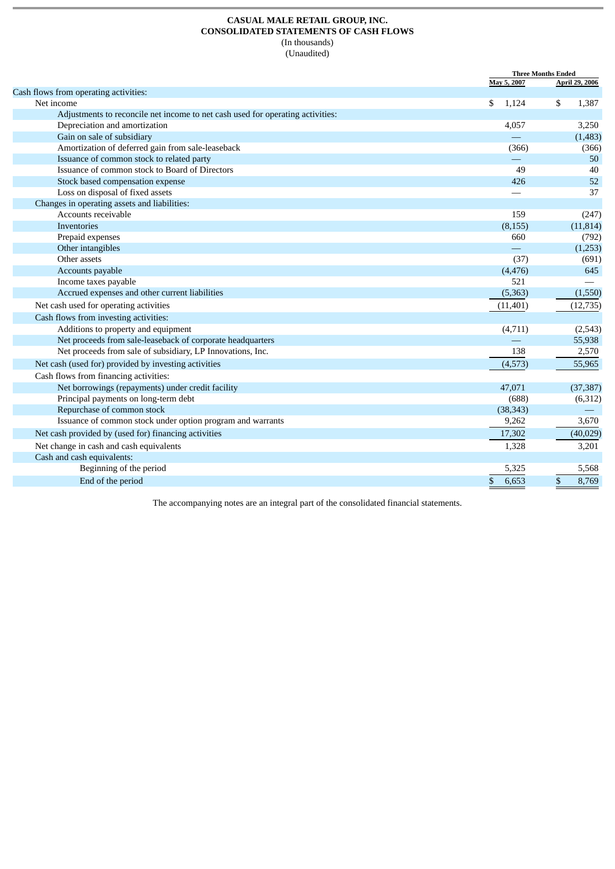#### **CASUAL MALE RETAIL GROUP, INC. CONSOLIDATED STATEMENTS OF CASH FLOWS** (In thousands) (Unaudited)

**Three Months Ended**<br>May 5, 2007 **April 2 May 5, 2007 April 29, 2006** Cash flows from operating activities: Net income  $\qquad \qquad \text{S} \quad 1,124$   $\qquad \text{S} \quad 1,387$ Adjustments to reconcile net income to net cash used for operating activities: Depreciation and amortization 4,057 3,250 Gain on sale of subsidiary **2006** California Control of the Control of the Control of the Control of the Control of the Control of the Control of the Control of the Control of the Control of the Control of the Control of t Amortization of deferred gain from sale-leaseback (366) (366) (366) **Issuance of common stock to related party Alternative Common stock to related party Alternative Common stock to related party 50** Issuance of common stock to Board of Directors **49** 40 40 Stock based compensation expense 52 Loss on disposal of fixed assets  $\sim$  37 Changes in operating assets and liabilities: Accounts receivable 159 (247)  $I$ nventories (8,155) (11,814) (11,814) Prepaid expenses (792) (792) Other intangibles (1,253) (1,253) Other assets (37) (691)  $\alpha$  Accounts payable  $(4,476)$  645<br> $\alpha$  and  $(4,476)$  645 Income taxes payable **1986** and other current liabilities **1986** and the set of the set of the set of the set of the set of the set of the set of the set of the set of the set of the set of the set of the set of the set of Accrued expenses and other current liabilities Net cash used for operating activities  $(12,735)$ Cash flows from investing activities: Additions to property and equipment (4,711) (2,543)<br>
Net proceeds from sale-leaseback of corporate headquarters (4,711) (2,543) Net proceeds from sale-leaseback of corporate headquarters and the same same control of the state of subsidiary, LP Innovations, Inc. (25,938 and 2,570 and 2,570 and 2,570 and 2,570 and 2,570 and 2,570 and 2,570 and 2,570 Net proceeds from sale of subsidiary, LP Innovations, Inc. 138 Net cash (used for) provided by investing activities (4,573) 55,965 Cash flows from financing activities: Net borrowings (repayments) under credit facility and the state of the state of the state of the state of the state of the state of the state of the state of the state of the state of the state of the state of the state of Principal payments on long-term debt (6,312) (6,312) Repurchase of common stock and proportion program and warrants and service common stock under option program and warrants and service common stock under option program and warrants and service common stock under option pro Issuance of common stock under option program and warrants 3,262 3,262 3,262 3,262 3,262 3,262 3,262 3,262 3,262 3,262 3,262 3,262 3,262 3,262 3,262 3,262 3,262 3,262 3,262 3,262 3,262 3,262 3,262 3,262 3,262 3,262 3,262 3 Net cash provided by (used for) financing activities (40,029) (40,029) Net change in cash and cash equivalents 1,328 3,201 Cash and cash equivalents: Beginning of the period 5,568 End of the period  $\overline{3}$  6,653  $\overline{3}$  8,769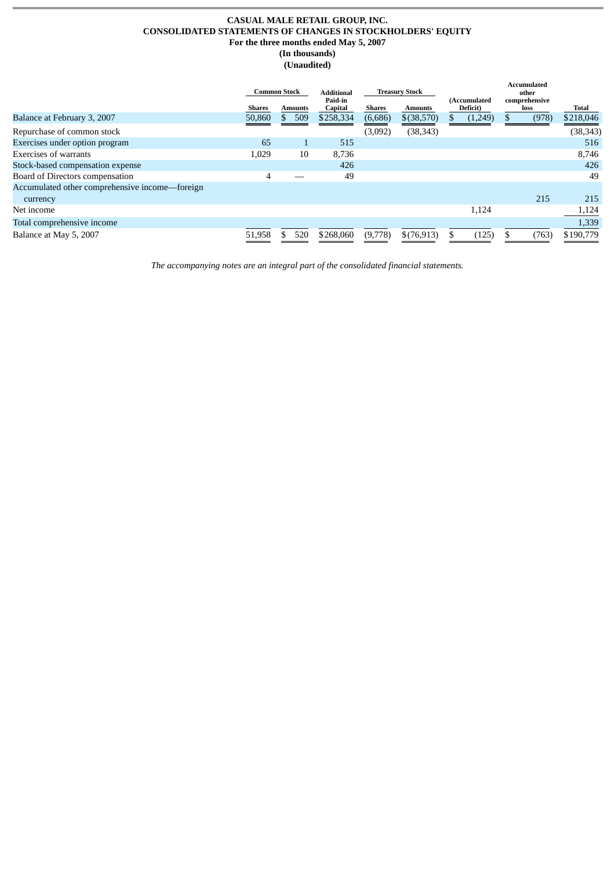## **CASUAL MALE RETAIL GROUP, INC. CONSOLIDATED STATEMENTS OF CHANGES IN STOCKHOLDERS' EQUITY For the three months ended May 5, 2007 (In thousands)**

**(Unaudited)**

|                                                | Common Stock  |         |                    |         | <b>Additional</b> | Treasury Stock           |                       |       | <b>Accumulated</b><br>other |  |  |
|------------------------------------------------|---------------|---------|--------------------|---------|-------------------|--------------------------|-----------------------|-------|-----------------------------|--|--|
|                                                | <b>Shares</b> | Amounts | Paid-in<br>Capital | Shares  | <b>Amounts</b>    | (Accumulated<br>Deficit) | comprehensive<br>loss |       | Total                       |  |  |
| Balance at February 3, 2007                    | 50,860        | 509     | \$258,334          | (6,686) | $$$ (38,570)      | (1,249)                  |                       | (978) | \$218,046                   |  |  |
| Repurchase of common stock                     |               |         |                    | (3,092) | (38, 343)         |                          |                       |       | (38, 343)                   |  |  |
| Exercises under option program                 | 65            |         | 515                |         |                   |                          |                       |       | 516                         |  |  |
| Exercises of warrants                          | 1,029         | 10      | 8,736              |         |                   |                          |                       |       | 8,746                       |  |  |
| Stock-based compensation expense               |               |         | 426                |         |                   |                          |                       |       | 426                         |  |  |
| Board of Directors compensation                | 4             |         | 49                 |         |                   |                          |                       |       | 49                          |  |  |
| Accumulated other comprehensive income-foreign |               |         |                    |         |                   |                          |                       |       |                             |  |  |
| currency                                       |               |         |                    |         |                   |                          |                       | 215   | 215                         |  |  |
| Net income                                     |               |         |                    |         |                   | 1,124                    |                       |       | 1,124                       |  |  |
| Total comprehensive income                     |               |         |                    |         |                   |                          |                       |       | 1,339                       |  |  |
| Balance at May 5, 2007                         | 51,958        | 520     | \$268,060          | (9,778) | \$(76,913)        | (125)                    |                       | (763) | \$190,779                   |  |  |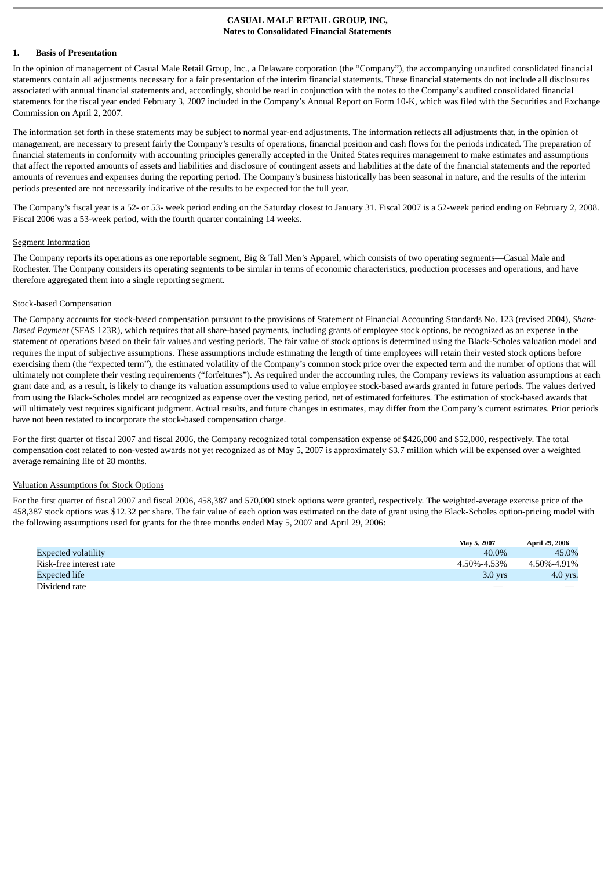#### **CASUAL MALE RETAIL GROUP, INC, Notes to Consolidated Financial Statements**

#### **1. Basis of Presentation**

In the opinion of management of Casual Male Retail Group, Inc., a Delaware corporation (the "Company"), the accompanying unaudited consolidated financial statements contain all adjustments necessary for a fair presentation of the interim financial statements. These financial statements do not include all disclosures associated with annual financial statements and, accordingly, should be read in conjunction with the notes to the Company's audited consolidated financial statements for the fiscal year ended February 3, 2007 included in the Company's Annual Report on Form 10-K, which was filed with the Securities and Exchange Commission on April 2, 2007.

The information set forth in these statements may be subject to normal year-end adjustments. The information reflects all adjustments that, in the opinion of management, are necessary to present fairly the Company's results of operations, financial position and cash flows for the periods indicated. The preparation of financial statements in conformity with accounting principles generally accepted in the United States requires management to make estimates and assumptions that affect the reported amounts of assets and liabilities and disclosure of contingent assets and liabilities at the date of the financial statements and the reported amounts of revenues and expenses during the reporting period. The Company's business historically has been seasonal in nature, and the results of the interim periods presented are not necessarily indicative of the results to be expected for the full year.

The Company's fiscal year is a 52- or 53- week period ending on the Saturday closest to January 31. Fiscal 2007 is a 52-week period ending on February 2, 2008. Fiscal 2006 was a 53-week period, with the fourth quarter containing 14 weeks.

#### Segment Information

The Company reports its operations as one reportable segment, Big & Tall Men's Apparel, which consists of two operating segments—Casual Male and Rochester. The Company considers its operating segments to be similar in terms of economic characteristics, production processes and operations, and have therefore aggregated them into a single reporting segment.

#### Stock-based Compensation

The Company accounts for stock-based compensation pursuant to the provisions of Statement of Financial Accounting Standards No. 123 (revised 2004), *Share-Based Payment* (SFAS 123R), which requires that all share-based payments, including grants of employee stock options, be recognized as an expense in the statement of operations based on their fair values and vesting periods. The fair value of stock options is determined using the Black-Scholes valuation model and requires the input of subjective assumptions. These assumptions include estimating the length of time employees will retain their vested stock options before exercising them (the "expected term"), the estimated volatility of the Company's common stock price over the expected term and the number of options that will ultimately not complete their vesting requirements ("forfeitures"). As required under the accounting rules, the Company reviews its valuation assumptions at each grant date and, as a result, is likely to change its valuation assumptions used to value employee stock-based awards granted in future periods. The values derived from using the Black-Scholes model are recognized as expense over the vesting period, net of estimated forfeitures. The estimation of stock-based awards that will ultimately vest requires significant judgment. Actual results, and future changes in estimates, may differ from the Company's current estimates. Prior periods have not been restated to incorporate the stock-based compensation charge.

For the first quarter of fiscal 2007 and fiscal 2006, the Company recognized total compensation expense of \$426,000 and \$52,000, respectively. The total compensation cost related to non-vested awards not yet recognized as of May 5, 2007 is approximately \$3.7 million which will be expensed over a weighted average remaining life of 28 months.

#### Valuation Assumptions for Stock Options

For the first quarter of fiscal 2007 and fiscal 2006, 458,387 and 570,000 stock options were granted, respectively. The weighted-average exercise price of the 458,387 stock options was \$12.32 per share. The fair value of each option was estimated on the date of grant using the Black-Scholes option-pricing model with the following assumptions used for grants for the three months ended May 5, 2007 and April 29, 2006:

|                            | May 5, 2007 | <b>April 29, 2006</b> |
|----------------------------|-------------|-----------------------|
| <b>Expected volatility</b> | 40.0%       | 45.0%                 |
| Risk-free interest rate    | 4.50%-4.53% | 4.50%-4.91%           |
| Expected life              | $3.0$ yrs   | $4.0$ yrs.            |
| Dividend rate              |             |                       |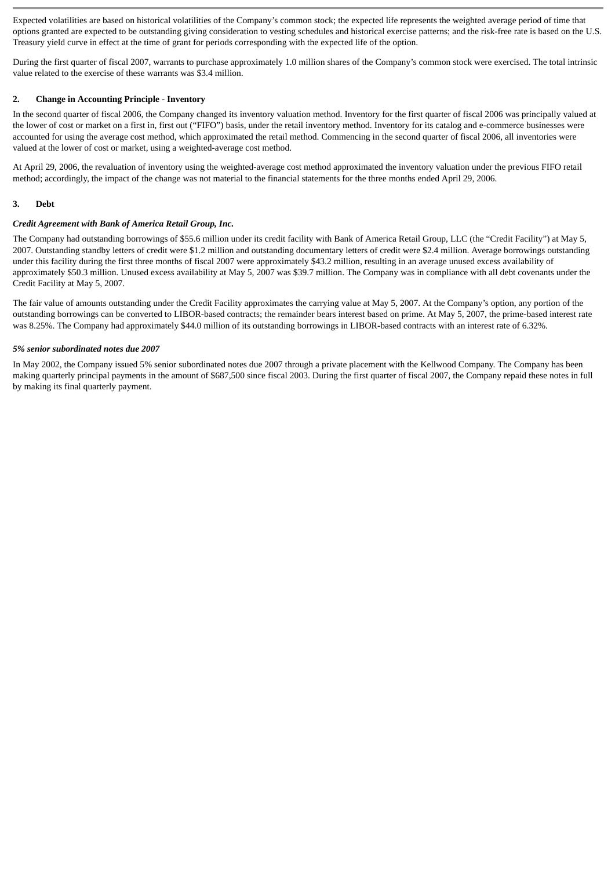Expected volatilities are based on historical volatilities of the Company's common stock; the expected life represents the weighted average period of time that options granted are expected to be outstanding giving consideration to vesting schedules and historical exercise patterns; and the risk-free rate is based on the U.S. Treasury yield curve in effect at the time of grant for periods corresponding with the expected life of the option.

During the first quarter of fiscal 2007, warrants to purchase approximately 1.0 million shares of the Company's common stock were exercised. The total intrinsic value related to the exercise of these warrants was \$3.4 million.

#### **2. Change in Accounting Principle - Inventory**

In the second quarter of fiscal 2006, the Company changed its inventory valuation method. Inventory for the first quarter of fiscal 2006 was principally valued at the lower of cost or market on a first in, first out ("FIFO") basis, under the retail inventory method. Inventory for its catalog and e-commerce businesses were accounted for using the average cost method, which approximated the retail method. Commencing in the second quarter of fiscal 2006, all inventories were valued at the lower of cost or market, using a weighted-average cost method.

At April 29, 2006, the revaluation of inventory using the weighted-average cost method approximated the inventory valuation under the previous FIFO retail method; accordingly, the impact of the change was not material to the financial statements for the three months ended April 29, 2006.

#### **3. Debt**

#### *Credit Agreement with Bank of America Retail Group, Inc.*

The Company had outstanding borrowings of \$55.6 million under its credit facility with Bank of America Retail Group, LLC (the "Credit Facility") at May 5, 2007. Outstanding standby letters of credit were \$1.2 million and outstanding documentary letters of credit were \$2.4 million. Average borrowings outstanding under this facility during the first three months of fiscal 2007 were approximately \$43.2 million, resulting in an average unused excess availability of approximately \$50.3 million. Unused excess availability at May 5, 2007 was \$39.7 million. The Company was in compliance with all debt covenants under the Credit Facility at May 5, 2007.

The fair value of amounts outstanding under the Credit Facility approximates the carrying value at May 5, 2007. At the Company's option, any portion of the outstanding borrowings can be converted to LIBOR-based contracts; the remainder bears interest based on prime. At May 5, 2007, the prime-based interest rate was 8.25%. The Company had approximately \$44.0 million of its outstanding borrowings in LIBOR-based contracts with an interest rate of 6.32%.

#### *5% senior subordinated notes due 2007*

In May 2002, the Company issued 5% senior subordinated notes due 2007 through a private placement with the Kellwood Company. The Company has been making quarterly principal payments in the amount of \$687,500 since fiscal 2003. During the first quarter of fiscal 2007, the Company repaid these notes in full by making its final quarterly payment.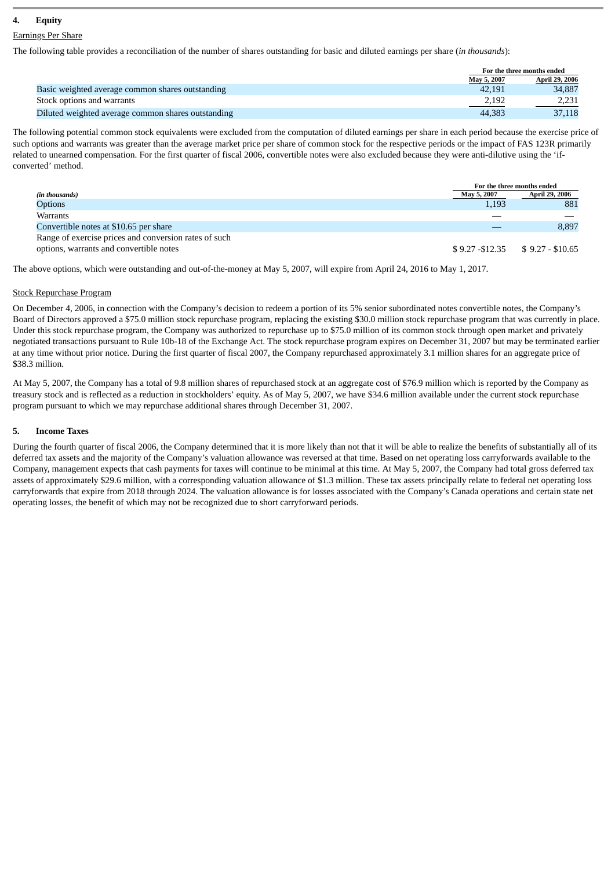## **4. Equity**

#### Earnings Per Share

The following table provides a reconciliation of the number of shares outstanding for basic and diluted earnings per share (*in thousands*):

|                                                    |             | For the three months ended |  |  |
|----------------------------------------------------|-------------|----------------------------|--|--|
|                                                    | May 5, 2007 | <b>April 29, 2006</b>      |  |  |
| Basic weighted average common shares outstanding   | 42.191      | 34,887                     |  |  |
| Stock options and warrants                         | 2,192       | 2,231                      |  |  |
| Diluted weighted average common shares outstanding | 44,383      | 37,118                     |  |  |

The following potential common stock equivalents were excluded from the computation of diluted earnings per share in each period because the exercise price of such options and warrants was greater than the average market price per share of common stock for the respective periods or the impact of FAS 123R primarily related to unearned compensation. For the first quarter of fiscal 2006, convertible notes were also excluded because they were anti-dilutive using the 'ifconverted' method.

|                                                       |             | For the three months ended        |
|-------------------------------------------------------|-------------|-----------------------------------|
| (in thousands)                                        | May 5, 2007 | <b>April 29, 2006</b>             |
| <b>Options</b>                                        | 1,193       | 881                               |
| <b>Warrants</b>                                       |             |                                   |
| Convertible notes at \$10.65 per share                |             | 8,897                             |
| Range of exercise prices and conversion rates of such |             |                                   |
| options, warrants and convertible notes               |             | $$9.27 - $12.35$ $$9.27 - $10.65$ |

The above options, which were outstanding and out-of-the-money at May 5, 2007, will expire from April 24, 2016 to May 1, 2017.

#### Stock Repurchase Program

On December 4, 2006, in connection with the Company's decision to redeem a portion of its 5% senior subordinated notes convertible notes, the Company's Board of Directors approved a \$75.0 million stock repurchase program, replacing the existing \$30.0 million stock repurchase program that was currently in place. Under this stock repurchase program, the Company was authorized to repurchase up to \$75.0 million of its common stock through open market and privately negotiated transactions pursuant to Rule 10b-18 of the Exchange Act. The stock repurchase program expires on December 31, 2007 but may be terminated earlier at any time without prior notice. During the first quarter of fiscal 2007, the Company repurchased approximately 3.1 million shares for an aggregate price of \$38.3 million.

At May 5, 2007, the Company has a total of 9.8 million shares of repurchased stock at an aggregate cost of \$76.9 million which is reported by the Company as treasury stock and is reflected as a reduction in stockholders' equity. As of May 5, 2007, we have \$34.6 million available under the current stock repurchase program pursuant to which we may repurchase additional shares through December 31, 2007.

#### **5. Income Taxes**

During the fourth quarter of fiscal 2006, the Company determined that it is more likely than not that it will be able to realize the benefits of substantially all of its deferred tax assets and the majority of the Company's valuation allowance was reversed at that time. Based on net operating loss carryforwards available to the Company, management expects that cash payments for taxes will continue to be minimal at this time. At May 5, 2007, the Company had total gross deferred tax assets of approximately \$29.6 million, with a corresponding valuation allowance of \$1.3 million. These tax assets principally relate to federal net operating loss carryforwards that expire from 2018 through 2024. The valuation allowance is for losses associated with the Company's Canada operations and certain state net operating losses, the benefit of which may not be recognized due to short carryforward periods.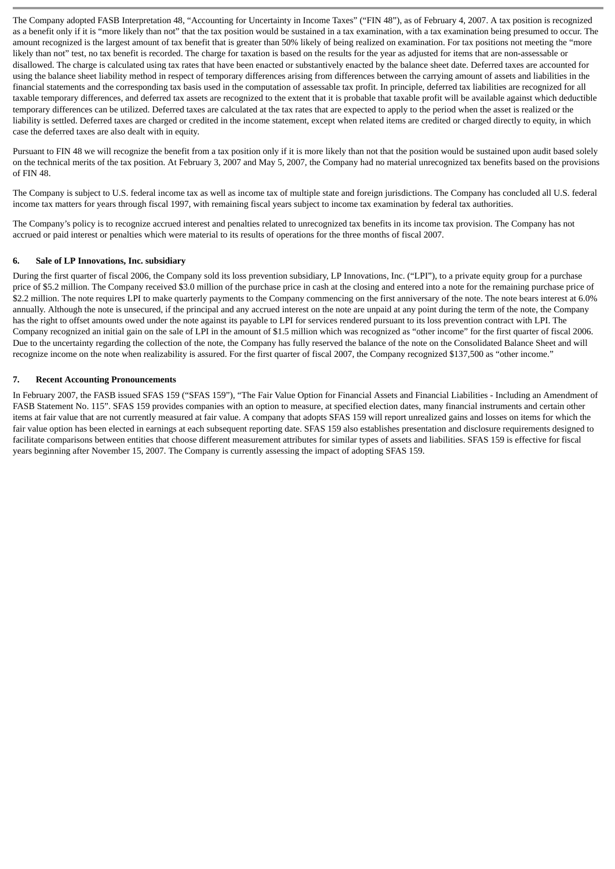The Company adopted FASB Interpretation 48, "Accounting for Uncertainty in Income Taxes" ("FIN 48"), as of February 4, 2007. A tax position is recognized as a benefit only if it is "more likely than not" that the tax position would be sustained in a tax examination, with a tax examination being presumed to occur. The amount recognized is the largest amount of tax benefit that is greater than 50% likely of being realized on examination. For tax positions not meeting the "more likely than not" test, no tax benefit is recorded. The charge for taxation is based on the results for the year as adjusted for items that are non-assessable or disallowed. The charge is calculated using tax rates that have been enacted or substantively enacted by the balance sheet date. Deferred taxes are accounted for using the balance sheet liability method in respect of temporary differences arising from differences between the carrying amount of assets and liabilities in the financial statements and the corresponding tax basis used in the computation of assessable tax profit. In principle, deferred tax liabilities are recognized for all taxable temporary differences, and deferred tax assets are recognized to the extent that it is probable that taxable profit will be available against which deductible temporary differences can be utilized. Deferred taxes are calculated at the tax rates that are expected to apply to the period when the asset is realized or the liability is settled. Deferred taxes are charged or credited in the income statement, except when related items are credited or charged directly to equity, in which case the deferred taxes are also dealt with in equity.

Pursuant to FIN 48 we will recognize the benefit from a tax position only if it is more likely than not that the position would be sustained upon audit based solely on the technical merits of the tax position. At February 3, 2007 and May 5, 2007, the Company had no material unrecognized tax benefits based on the provisions of FIN 48.

The Company is subject to U.S. federal income tax as well as income tax of multiple state and foreign jurisdictions. The Company has concluded all U.S. federal income tax matters for years through fiscal 1997, with remaining fiscal years subject to income tax examination by federal tax authorities.

The Company's policy is to recognize accrued interest and penalties related to unrecognized tax benefits in its income tax provision. The Company has not accrued or paid interest or penalties which were material to its results of operations for the three months of fiscal 2007.

#### **6. Sale of LP Innovations, Inc. subsidiary**

During the first quarter of fiscal 2006, the Company sold its loss prevention subsidiary, LP Innovations, Inc. ("LPI"), to a private equity group for a purchase price of \$5.2 million. The Company received \$3.0 million of the purchase price in cash at the closing and entered into a note for the remaining purchase price of \$2.2 million. The note requires LPI to make quarterly payments to the Company commencing on the first anniversary of the note. The note bears interest at 6.0% annually. Although the note is unsecured, if the principal and any accrued interest on the note are unpaid at any point during the term of the note, the Company has the right to offset amounts owed under the note against its payable to LPI for services rendered pursuant to its loss prevention contract with LPI. The Company recognized an initial gain on the sale of LPI in the amount of \$1.5 million which was recognized as "other income" for the first quarter of fiscal 2006. Due to the uncertainty regarding the collection of the note, the Company has fully reserved the balance of the note on the Consolidated Balance Sheet and will recognize income on the note when realizability is assured. For the first quarter of fiscal 2007, the Company recognized \$137,500 as "other income."

#### **7. Recent Accounting Pronouncements**

In February 2007, the FASB issued SFAS 159 ("SFAS 159"), "The Fair Value Option for Financial Assets and Financial Liabilities - Including an Amendment of FASB Statement No. 115". SFAS 159 provides companies with an option to measure, at specified election dates, many financial instruments and certain other items at fair value that are not currently measured at fair value. A company that adopts SFAS 159 will report unrealized gains and losses on items for which the fair value option has been elected in earnings at each subsequent reporting date. SFAS 159 also establishes presentation and disclosure requirements designed to facilitate comparisons between entities that choose different measurement attributes for similar types of assets and liabilities. SFAS 159 is effective for fiscal years beginning after November 15, 2007. The Company is currently assessing the impact of adopting SFAS 159.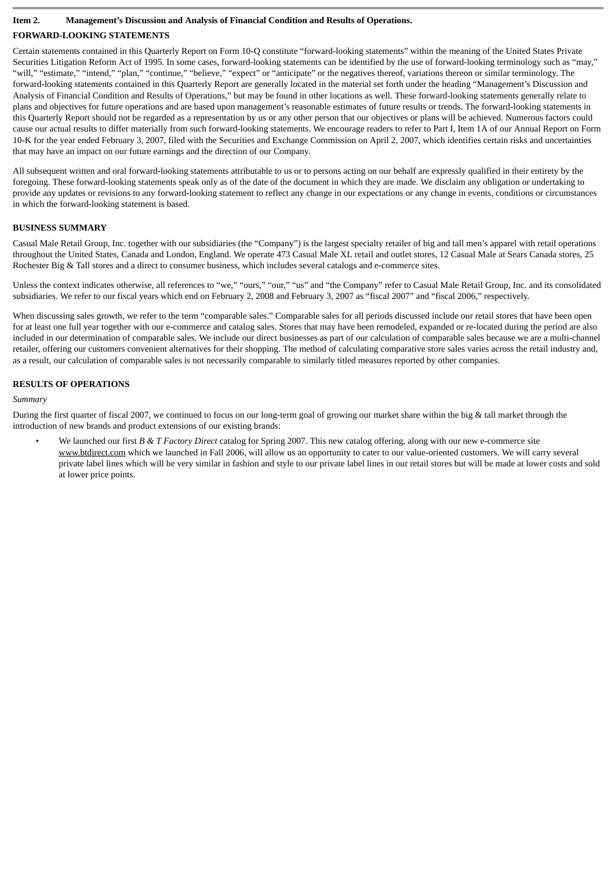## **Item 2. Management's Discussion and Analysis of Financial Condition and Results of Operations.**

## **FORWARD-LOOKING STATEMENTS**

Certain statements contained in this Quarterly Report on Form 10-Q constitute "forward-looking statements" within the meaning of the United States Private Securities Litigation Reform Act of 1995. In some cases, forward-looking statements can be identified by the use of forward-looking terminology such as "may," "will," "estimate," "intend," "plan," "continue," "believe," "expect" or "anticipate" or the negatives thereof, variations thereon or similar terminology. The forward-looking statements contained in this Quarterly Report are generally located in the material set forth under the heading "Management's Discussion and Analysis of Financial Condition and Results of Operations," but may be found in other locations as well. These forward-looking statements generally relate to plans and objectives for future operations and are based upon management's reasonable estimates of future results or trends. The forward-looking statements in this Quarterly Report should not be regarded as a representation by us or any other person that our objectives or plans will be achieved. Numerous factors could cause our actual results to differ materially from such forward-looking statements. We encourage readers to refer to Part I, Item 1A of our Annual Report on Form 10-K for the year ended February 3, 2007, filed with the Securities and Exchange Commission on April 2, 2007, which identifies certain risks and uncertainties that may have an impact on our future earnings and the direction of our Company.

All subsequent written and oral forward-looking statements attributable to us or to persons acting on our behalf are expressly qualified in their entirety by the foregoing. These forward-looking statements speak only as of the date of the document in which they are made. We disclaim any obligation or undertaking to provide any updates or revisions to any forward-looking statement to reflect any change in our expectations or any change in events, conditions or circumstances in which the forward-looking statement is based.

## **BUSINESS SUMMARY**

Casual Male Retail Group, Inc. together with our subsidiaries (the "Company") is the largest specialty retailer of big and tall men's apparel with retail operations throughout the United States, Canada and London, England. We operate 473 Casual Male XL retail and outlet stores, 12 Casual Male at Sears Canada stores, 25 Rochester Big & Tall stores and a direct to consumer business, which includes several catalogs and e-commerce sites.

Unless the context indicates otherwise, all references to "we," "ours," "our," "us" and "the Company" refer to Casual Male Retail Group, Inc. and its consolidated subsidiaries. We refer to our fiscal years which end on February 2, 2008 and February 3, 2007 as "fiscal 2007" and "fiscal 2006," respectively.

When discussing sales growth, we refer to the term "comparable sales." Comparable sales for all periods discussed include our retail stores that have been open for at least one full year together with our e-commerce and catalog sales. Stores that may have been remodeled, expanded or re-located during the period are also included in our determination of comparable sales. We include our direct businesses as part of our calculation of comparable sales because we are a multi-channel retailer, offering our customers convenient alternatives for their shopping. The method of calculating comparative store sales varies across the retail industry and, as a result, our calculation of comparable sales is not necessarily comparable to similarly titled measures reported by other companies.

## **RESULTS OF OPERATIONS**

## *Summary*

During the first quarter of fiscal 2007, we continued to focus on our long-term goal of growing our market share within the big & tall market through the introduction of new brands and product extensions of our existing brands:

• We launched our first *B & T Factory Direct* catalog for Spring 2007. This new catalog offering, along with our new e-commerce site www.btdirect.com which we launched in Fall 2006, will allow us an opportunity to cater to our value-oriented customers. We will carry several private label lines which will be very similar in fashion and style to our private label lines in our retail stores but will be made at lower costs and sold at lower price points.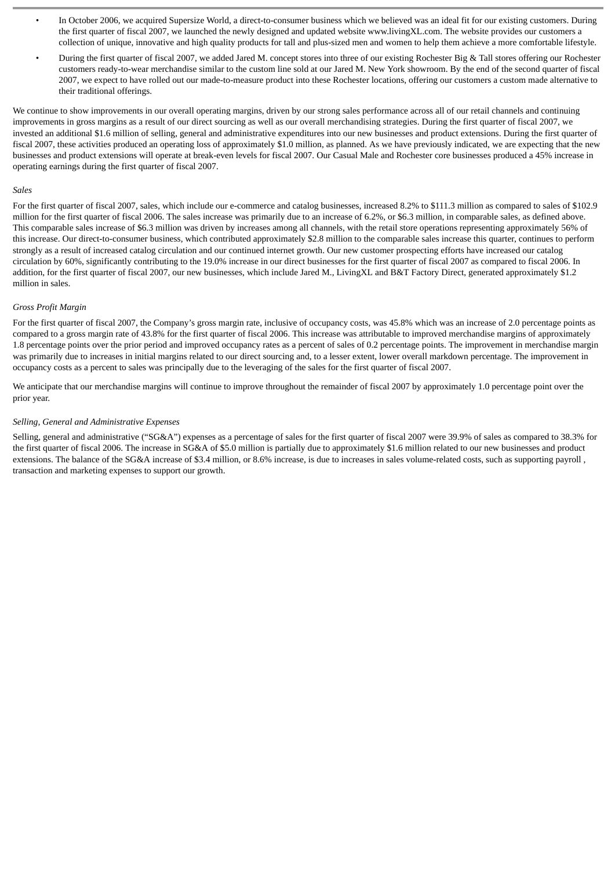- In October 2006, we acquired Supersize World, a direct-to-consumer business which we believed was an ideal fit for our existing customers. During the first quarter of fiscal 2007, we launched the newly designed and updated website www.livingXL.com. The website provides our customers a collection of unique, innovative and high quality products for tall and plus-sized men and women to help them achieve a more comfortable lifestyle.
- During the first quarter of fiscal 2007, we added Jared M. concept stores into three of our existing Rochester Big & Tall stores offering our Rochester customers ready-to-wear merchandise similar to the custom line sold at our Jared M. New York showroom. By the end of the second quarter of fiscal 2007, we expect to have rolled out our made-to-measure product into these Rochester locations, offering our customers a custom made alternative to their traditional offerings.

We continue to show improvements in our overall operating margins, driven by our strong sales performance across all of our retail channels and continuing improvements in gross margins as a result of our direct sourcing as well as our overall merchandising strategies. During the first quarter of fiscal 2007, we invested an additional \$1.6 million of selling, general and administrative expenditures into our new businesses and product extensions. During the first quarter of fiscal 2007, these activities produced an operating loss of approximately \$1.0 million, as planned. As we have previously indicated, we are expecting that the new businesses and product extensions will operate at break-even levels for fiscal 2007. Our Casual Male and Rochester core businesses produced a 45% increase in operating earnings during the first quarter of fiscal 2007.

#### *Sales*

For the first quarter of fiscal 2007, sales, which include our e-commerce and catalog businesses, increased 8.2% to \$111.3 million as compared to sales of \$102.9 million for the first quarter of fiscal 2006. The sales increase was primarily due to an increase of 6.2%, or \$6.3 million, in comparable sales, as defined above. This comparable sales increase of \$6.3 million was driven by increases among all channels, with the retail store operations representing approximately 56% of this increase. Our direct-to-consumer business, which contributed approximately \$2.8 million to the comparable sales increase this quarter, continues to perform strongly as a result of increased catalog circulation and our continued internet growth. Our new customer prospecting efforts have increased our catalog circulation by 60%, significantly contributing to the 19.0% increase in our direct businesses for the first quarter of fiscal 2007 as compared to fiscal 2006. In addition, for the first quarter of fiscal 2007, our new businesses, which include Jared M., LivingXL and B&T Factory Direct, generated approximately \$1.2 million in sales.

#### *Gross Profit Margin*

For the first quarter of fiscal 2007, the Company's gross margin rate, inclusive of occupancy costs, was 45.8% which was an increase of 2.0 percentage points as compared to a gross margin rate of 43.8% for the first quarter of fiscal 2006. This increase was attributable to improved merchandise margins of approximately 1.8 percentage points over the prior period and improved occupancy rates as a percent of sales of 0.2 percentage points. The improvement in merchandise margin was primarily due to increases in initial margins related to our direct sourcing and, to a lesser extent, lower overall markdown percentage. The improvement in occupancy costs as a percent to sales was principally due to the leveraging of the sales for the first quarter of fiscal 2007.

We anticipate that our merchandise margins will continue to improve throughout the remainder of fiscal 2007 by approximately 1.0 percentage point over the prior year.

#### *Selling, General and Administrative Expenses*

Selling, general and administrative ("SG&A") expenses as a percentage of sales for the first quarter of fiscal 2007 were 39.9% of sales as compared to 38.3% for the first quarter of fiscal 2006. The increase in SG&A of \$5.0 million is partially due to approximately \$1.6 million related to our new businesses and product extensions. The balance of the SG&A increase of \$3.4 million, or 8.6% increase, is due to increases in sales volume-related costs, such as supporting payroll , transaction and marketing expenses to support our growth.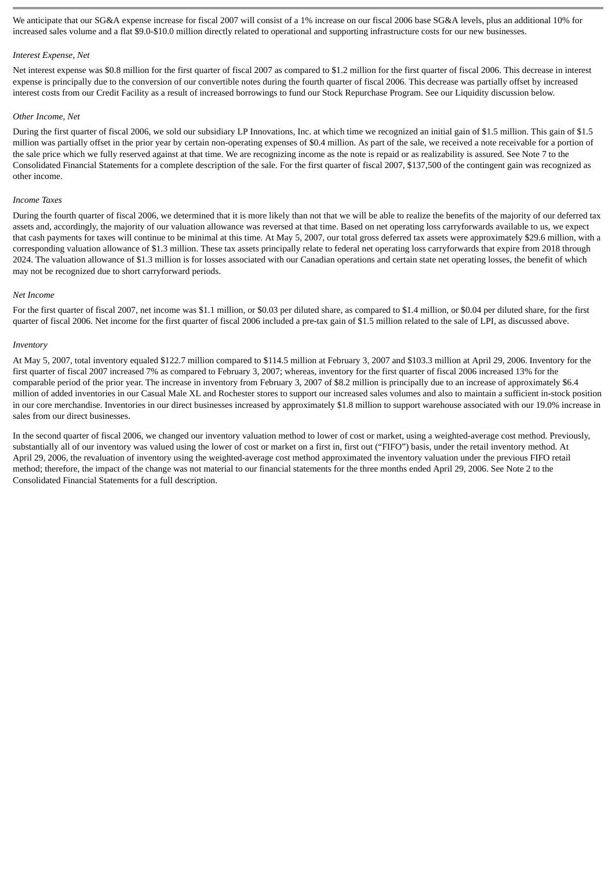We anticipate that our SG&A expense increase for fiscal 2007 will consist of a 1% increase on our fiscal 2006 base SG&A levels, plus an additional 10% for increased sales volume and a flat \$9.0-\$10.0 million directly related to operational and supporting infrastructure costs for our new businesses.

#### *Interest Expense, Net*

Net interest expense was \$0.8 million for the first quarter of fiscal 2007 as compared to \$1.2 million for the first quarter of fiscal 2006. This decrease in interest expense is principally due to the conversion of our convertible notes during the fourth quarter of fiscal 2006. This decrease was partially offset by increased interest costs from our Credit Facility as a result of increased borrowings to fund our Stock Repurchase Program. See our Liquidity discussion below.

#### *Other Income, Net*

During the first quarter of fiscal 2006, we sold our subsidiary LP Innovations, Inc. at which time we recognized an initial gain of \$1.5 million. This gain of \$1.5 million was partially offset in the prior year by certain non-operating expenses of \$0.4 million. As part of the sale, we received a note receivable for a portion of the sale price which we fully reserved against at that time. We are recognizing income as the note is repaid or as realizability is assured. See Note 7 to the Consolidated Financial Statements for a complete description of the sale. For the first quarter of fiscal 2007, \$137,500 of the contingent gain was recognized as other income.

#### *Income Taxes*

During the fourth quarter of fiscal 2006, we determined that it is more likely than not that we will be able to realize the benefits of the majority of our deferred tax assets and, accordingly, the majority of our valuation allowance was reversed at that time. Based on net operating loss carryforwards available to us, we expect that cash payments for taxes will continue to be minimal at this time. At May 5, 2007, our total gross deferred tax assets were approximately \$29.6 million, with a corresponding valuation allowance of \$1.3 million. These tax assets principally relate to federal net operating loss carryforwards that expire from 2018 through 2024. The valuation allowance of \$1.3 million is for losses associated with our Canadian operations and certain state net operating losses, the benefit of which may not be recognized due to short carryforward periods.

#### *Net Income*

For the first quarter of fiscal 2007, net income was \$1.1 million, or \$0.03 per diluted share, as compared to \$1.4 million, or \$0.04 per diluted share, for the first quarter of fiscal 2006. Net income for the first quarter of fiscal 2006 included a pre-tax gain of \$1.5 million related to the sale of LPI, as discussed above.

#### *Inventory*

At May 5, 2007, total inventory equaled \$122.7 million compared to \$114.5 million at February 3, 2007 and \$103.3 million at April 29, 2006. Inventory for the first quarter of fiscal 2007 increased 7% as compared to February 3, 2007; whereas, inventory for the first quarter of fiscal 2006 increased 13% for the comparable period of the prior year. The increase in inventory from February 3, 2007 of \$8.2 million is principally due to an increase of approximately \$6.4 million of added inventories in our Casual Male XL and Rochester stores to support our increased sales volumes and also to maintain a sufficient in-stock position in our core merchandise. Inventories in our direct businesses increased by approximately \$1.8 million to support warehouse associated with our 19.0% increase in sales from our direct businesses.

In the second quarter of fiscal 2006, we changed our inventory valuation method to lower of cost or market, using a weighted-average cost method. Previously, substantially all of our inventory was valued using the lower of cost or market on a first in, first out ("FIFO") basis, under the retail inventory method. At April 29, 2006, the revaluation of inventory using the weighted-average cost method approximated the inventory valuation under the previous FIFO retail method; therefore, the impact of the change was not material to our financial statements for the three months ended April 29, 2006. See Note 2 to the Consolidated Financial Statements for a full description.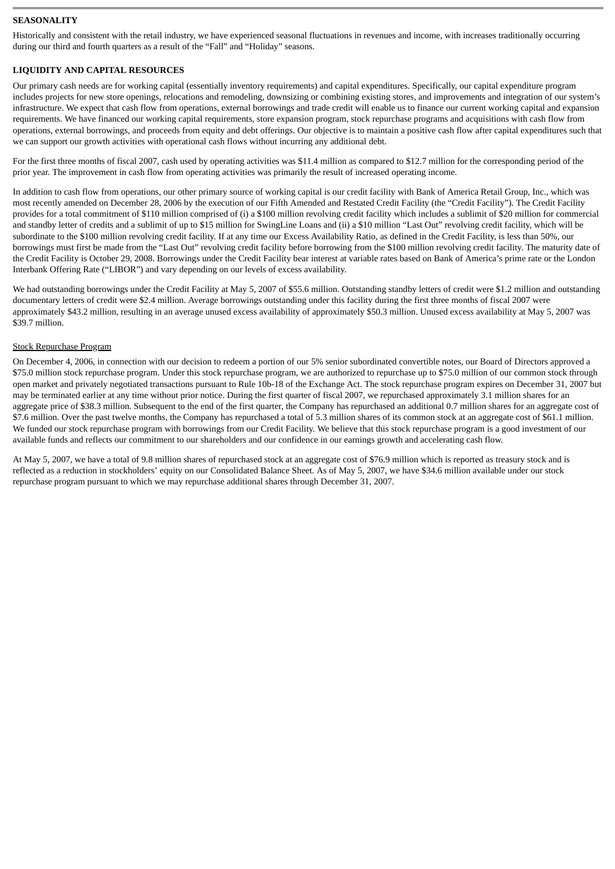## **SEASONALITY**

Historically and consistent with the retail industry, we have experienced seasonal fluctuations in revenues and income, with increases traditionally occurring during our third and fourth quarters as a result of the "Fall" and "Holiday" seasons.

## **LIQUIDITY AND CAPITAL RESOURCES**

Our primary cash needs are for working capital (essentially inventory requirements) and capital expenditures. Specifically, our capital expenditure program includes projects for new store openings, relocations and remodeling, downsizing or combining existing stores, and improvements and integration of our system's infrastructure. We expect that cash flow from operations, external borrowings and trade credit will enable us to finance our current working capital and expansion requirements. We have financed our working capital requirements, store expansion program, stock repurchase programs and acquisitions with cash flow from operations, external borrowings, and proceeds from equity and debt offerings. Our objective is to maintain a positive cash flow after capital expenditures such that we can support our growth activities with operational cash flows without incurring any additional debt.

For the first three months of fiscal 2007, cash used by operating activities was \$11.4 million as compared to \$12.7 million for the corresponding period of the prior year. The improvement in cash flow from operating activities was primarily the result of increased operating income.

In addition to cash flow from operations, our other primary source of working capital is our credit facility with Bank of America Retail Group, Inc., which was most recently amended on December 28, 2006 by the execution of our Fifth Amended and Restated Credit Facility (the "Credit Facility"). The Credit Facility provides for a total commitment of \$110 million comprised of (i) a \$100 million revolving credit facility which includes a sublimit of \$20 million for commercial and standby letter of credits and a sublimit of up to \$15 million for SwingLine Loans and (ii) a \$10 million "Last Out" revolving credit facility, which will be subordinate to the \$100 million revolving credit facility. If at any time our Excess Availability Ratio, as defined in the Credit Facility, is less than 50%, our borrowings must first be made from the "Last Out" revolving credit facility before borrowing from the \$100 million revolving credit facility. The maturity date of the Credit Facility is October 29, 2008. Borrowings under the Credit Facility bear interest at variable rates based on Bank of America's prime rate or the London Interbank Offering Rate ("LIBOR") and vary depending on our levels of excess availability.

We had outstanding borrowings under the Credit Facility at May 5, 2007 of \$55.6 million. Outstanding standby letters of credit were \$1.2 million and outstanding documentary letters of credit were \$2.4 million. Average borrowings outstanding under this facility during the first three months of fiscal 2007 were approximately \$43.2 million, resulting in an average unused excess availability of approximately \$50.3 million. Unused excess availability at May 5, 2007 was \$39.7 million.

#### Stock Repurchase Program

On December 4, 2006, in connection with our decision to redeem a portion of our 5% senior subordinated convertible notes, our Board of Directors approved a \$75.0 million stock repurchase program. Under this stock repurchase program, we are authorized to repurchase up to \$75.0 million of our common stock through open market and privately negotiated transactions pursuant to Rule 10b-18 of the Exchange Act. The stock repurchase program expires on December 31, 2007 but may be terminated earlier at any time without prior notice. During the first quarter of fiscal 2007, we repurchased approximately 3.1 million shares for an aggregate price of \$38.3 million. Subsequent to the end of the first quarter, the Company has repurchased an additional 0.7 million shares for an aggregate cost of \$7.6 million. Over the past twelve months, the Company has repurchased a total of 5.3 million shares of its common stock at an aggregate cost of \$61.1 million. We funded our stock repurchase program with borrowings from our Credit Facility. We believe that this stock repurchase program is a good investment of our available funds and reflects our commitment to our shareholders and our confidence in our earnings growth and accelerating cash flow.

At May 5, 2007, we have a total of 9.8 million shares of repurchased stock at an aggregate cost of \$76.9 million which is reported as treasury stock and is reflected as a reduction in stockholders' equity on our Consolidated Balance Sheet. As of May 5, 2007, we have \$34.6 million available under our stock repurchase program pursuant to which we may repurchase additional shares through December 31, 2007.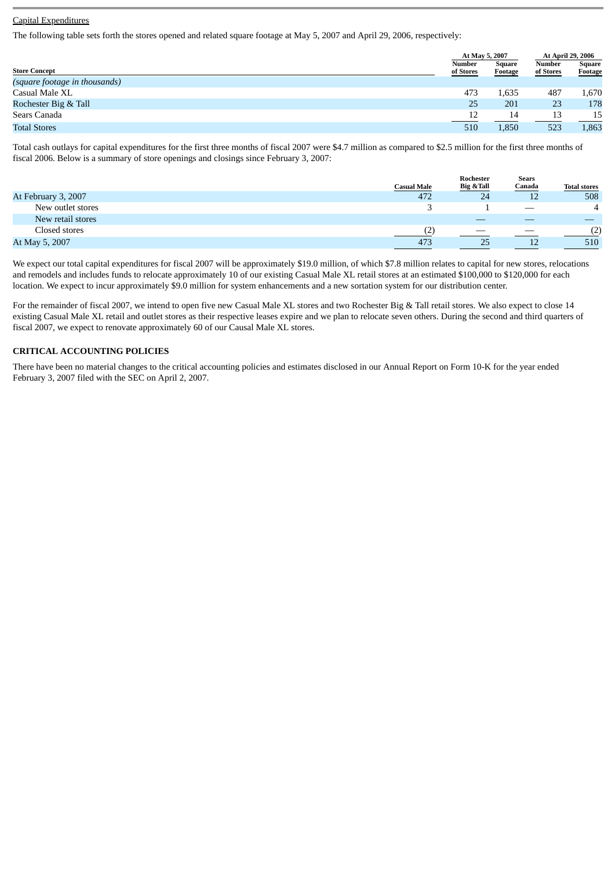## Capital Expenditures

The following table sets forth the stores opened and related square footage at May 5, 2007 and April 29, 2006, respectively:

|                               |                     | At May 5, 2007    | At April 29, 2006   |                          |
|-------------------------------|---------------------|-------------------|---------------------|--------------------------|
| <b>Store Concept</b>          | Number<br>of Stores | Square<br>Footage | Number<br>of Stores | <b>Square</b><br>Footage |
| (square footage in thousands) |                     |                   |                     |                          |
| Casual Male XL                | 473                 | 1,635             | 487                 | 1,670                    |
| Rochester Big & Tall          | 25                  | 201               | 23                  | 178                      |
| Sears Canada                  | 12                  | 14                | 13                  | 15                       |
| <b>Total Stores</b>           | 510                 | 1,850             | 523                 | 1,863                    |

Total cash outlays for capital expenditures for the first three months of fiscal 2007 were \$4.7 million as compared to \$2.5 million for the first three months of fiscal 2006. Below is a summary of store openings and closings since February 3, 2007:

|                     |                    | Rochester  | <b>Sears</b>                    |                     |
|---------------------|--------------------|------------|---------------------------------|---------------------|
|                     | <b>Casual Male</b> | Big & Tall | Canada                          | <b>Total stores</b> |
| At February 3, 2007 | 472                | 24         | 12                              | 508                 |
| New outlet stores   |                    |            | $\hspace{0.1mm}-\hspace{0.1mm}$ | $\overline{4}$      |
| New retail stores   |                    |            |                                 |                     |
| Closed stores       |                    |            |                                 | (2)                 |
| At May 5, 2007      | 473                | 25         |                                 | 510                 |

We expect our total capital expenditures for fiscal 2007 will be approximately \$19.0 million, of which \$7.8 million relates to capital for new stores, relocations and remodels and includes funds to relocate approximately 10 of our existing Casual Male XL retail stores at an estimated \$100,000 to \$120,000 for each location. We expect to incur approximately \$9.0 million for system enhancements and a new sortation system for our distribution center.

For the remainder of fiscal 2007, we intend to open five new Casual Male XL stores and two Rochester Big & Tall retail stores. We also expect to close 14 existing Casual Male XL retail and outlet stores as their respective leases expire and we plan to relocate seven others. During the second and third quarters of fiscal 2007, we expect to renovate approximately 60 of our Causal Male XL stores.

#### **CRITICAL ACCOUNTING POLICIES**

There have been no material changes to the critical accounting policies and estimates disclosed in our Annual Report on Form 10-K for the year ended February 3, 2007 filed with the SEC on April 2, 2007.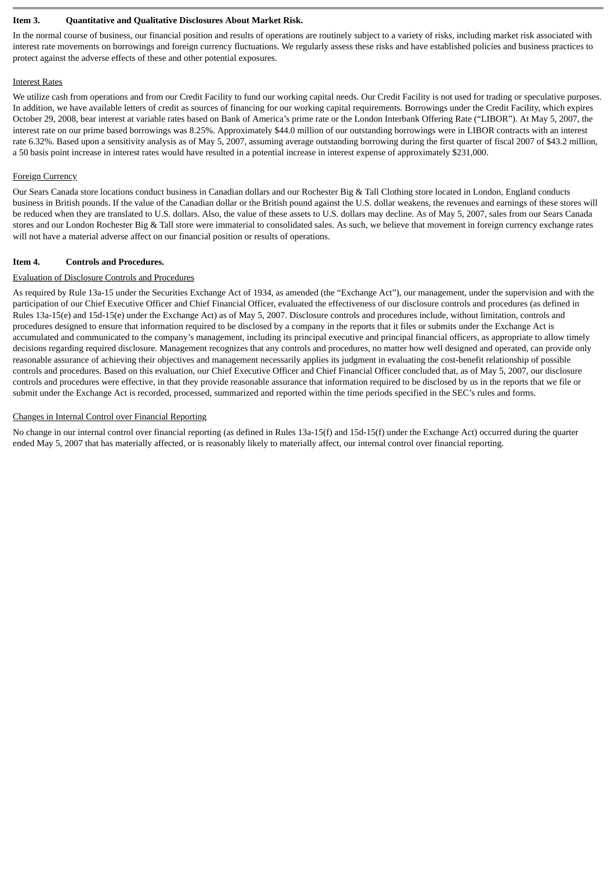#### **Item 3. Quantitative and Qualitative Disclosures About Market Risk.**

In the normal course of business, our financial position and results of operations are routinely subject to a variety of risks, including market risk associated with interest rate movements on borrowings and foreign currency fluctuations. We regularly assess these risks and have established policies and business practices to protect against the adverse effects of these and other potential exposures.

#### Interest Rates

We utilize cash from operations and from our Credit Facility to fund our working capital needs. Our Credit Facility is not used for trading or speculative purposes. In addition, we have available letters of credit as sources of financing for our working capital requirements. Borrowings under the Credit Facility, which expires October 29, 2008, bear interest at variable rates based on Bank of America's prime rate or the London Interbank Offering Rate ("LIBOR"). At May 5, 2007, the interest rate on our prime based borrowings was 8.25%. Approximately \$44.0 million of our outstanding borrowings were in LIBOR contracts with an interest rate 6.32%. Based upon a sensitivity analysis as of May 5, 2007, assuming average outstanding borrowing during the first quarter of fiscal 2007 of \$43.2 million, a 50 basis point increase in interest rates would have resulted in a potential increase in interest expense of approximately \$231,000.

## Foreign Currency

Our Sears Canada store locations conduct business in Canadian dollars and our Rochester Big & Tall Clothing store located in London, England conducts business in British pounds. If the value of the Canadian dollar or the British pound against the U.S. dollar weakens, the revenues and earnings of these stores will be reduced when they are translated to U.S. dollars. Also, the value of these assets to U.S. dollars may decline. As of May 5, 2007, sales from our Sears Canada stores and our London Rochester Big & Tall store were immaterial to consolidated sales. As such, we believe that movement in foreign currency exchange rates will not have a material adverse affect on our financial position or results of operations.

## **Item 4. Controls and Procedures.**

## Evaluation of Disclosure Controls and Procedures

As required by Rule 13a-15 under the Securities Exchange Act of 1934, as amended (the "Exchange Act"), our management, under the supervision and with the participation of our Chief Executive Officer and Chief Financial Officer, evaluated the effectiveness of our disclosure controls and procedures (as defined in Rules 13a-15(e) and 15d-15(e) under the Exchange Act) as of May 5, 2007. Disclosure controls and procedures include, without limitation, controls and procedures designed to ensure that information required to be disclosed by a company in the reports that it files or submits under the Exchange Act is accumulated and communicated to the company's management, including its principal executive and principal financial officers, as appropriate to allow timely decisions regarding required disclosure. Management recognizes that any controls and procedures, no matter how well designed and operated, can provide only reasonable assurance of achieving their objectives and management necessarily applies its judgment in evaluating the cost-benefit relationship of possible controls and procedures. Based on this evaluation, our Chief Executive Officer and Chief Financial Officer concluded that, as of May 5, 2007, our disclosure controls and procedures were effective, in that they provide reasonable assurance that information required to be disclosed by us in the reports that we file or submit under the Exchange Act is recorded, processed, summarized and reported within the time periods specified in the SEC's rules and forms.

## Changes in Internal Control over Financial Reporting

No change in our internal control over financial reporting (as defined in Rules 13a-15(f) and 15d-15(f) under the Exchange Act) occurred during the quarter ended May 5, 2007 that has materially affected, or is reasonably likely to materially affect, our internal control over financial reporting.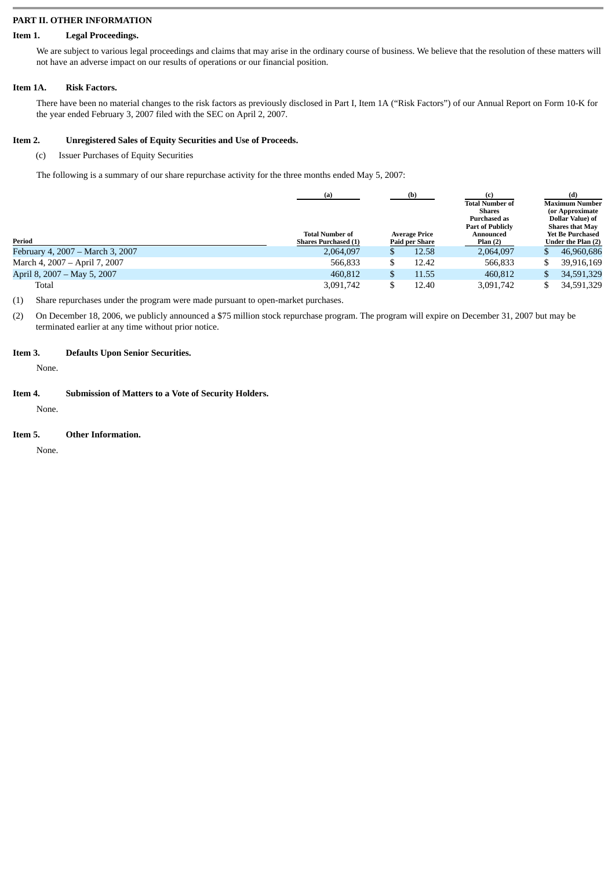#### **PART II. OTHER INFORMATION**

## **Item 1. Legal Proceedings.**

We are subject to various legal proceedings and claims that may arise in the ordinary course of business. We believe that the resolution of these matters will not have an adverse impact on our results of operations or our financial position.

## **Item 1A. Risk Factors.**

There have been no material changes to the risk factors as previously disclosed in Part I, Item 1A ("Risk Factors") of our Annual Report on Form 10-K for the year ended February 3, 2007 filed with the SEC on April 2, 2007.

## **Item 2. Unregistered Sales of Equity Securities and Use of Proceeds.**

## (c) Issuer Purchases of Equity Securities

The following is a summary of our share repurchase activity for the three months ended May 5, 2007:

|                                  | (b)<br>(a)                  |  |                      |                         | (d)             |                         |
|----------------------------------|-----------------------------|--|----------------------|-------------------------|-----------------|-------------------------|
|                                  |                             |  |                      | <b>Total Number of</b>  |                 | <b>Maximum Number</b>   |
|                                  |                             |  |                      | <b>Shares</b>           | (or Approximate |                         |
|                                  |                             |  |                      | <b>Purchased as</b>     |                 | Dollar Value) of        |
|                                  |                             |  |                      | <b>Part of Publicly</b> |                 | <b>Shares that May</b>  |
|                                  | <b>Total Number of</b>      |  | <b>Average Price</b> | Announced               |                 | <b>Yet Be Purchased</b> |
| Period                           | <b>Shares Purchased (1)</b> |  | Paid per Share       | Plan(2)                 |                 | Under the Plan (2)      |
| February 4, 2007 – March 3, 2007 | 2,064,097                   |  | 12.58                | 2,064,097               |                 | 46,960,686              |
| March 4, 2007 - April 7, 2007    | 566.833                     |  | 12.42                | 566,833                 |                 | 39,916,169              |
| April 8, 2007 – May 5, 2007      | 460,812                     |  | 11.55                | 460,812                 |                 | 34,591,329              |
| Total                            | 3,091,742                   |  | 12.40                | 3,091,742               |                 | 34,591,329              |

(1) Share repurchases under the program were made pursuant to open-market purchases.

(2) On December 18, 2006, we publicly announced a \$75 million stock repurchase program. The program will expire on December 31, 2007 but may be terminated earlier at any time without prior notice.

## **Item 3. Defaults Upon Senior Securities.**

None.

#### **Item 4. Submission of Matters to a Vote of Security Holders.**

None.

## **Item 5. Other Information.**

None.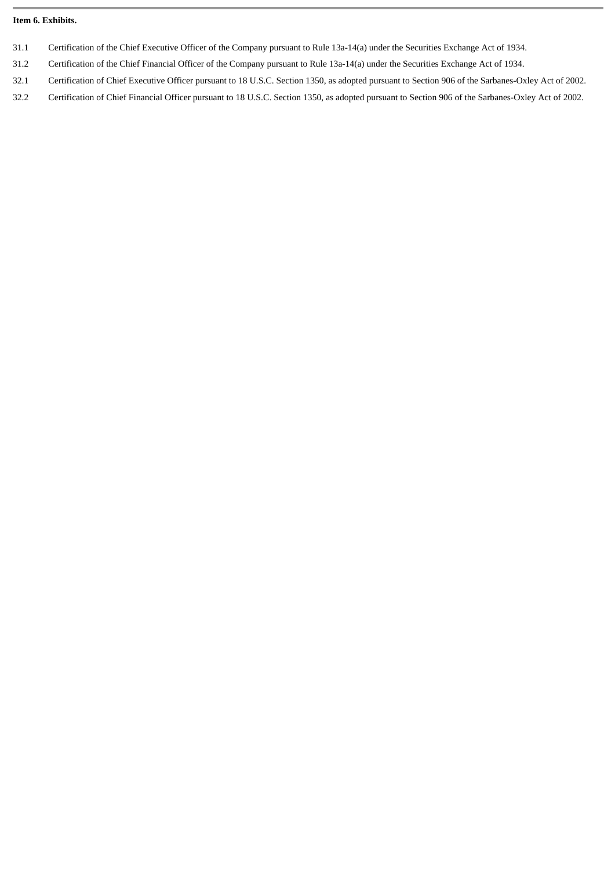#### **Item 6. Exhibits.**

- 31.1 Certification of the Chief Executive Officer of the Company pursuant to Rule 13a-14(a) under the Securities Exchange Act of 1934.
- 31.2 Certification of the Chief Financial Officer of the Company pursuant to Rule 13a-14(a) under the Securities Exchange Act of 1934.
- 32.1 Certification of Chief Executive Officer pursuant to 18 U.S.C. Section 1350, as adopted pursuant to Section 906 of the Sarbanes-Oxley Act of 2002.
- 32.2 Certification of Chief Financial Officer pursuant to 18 U.S.C. Section 1350, as adopted pursuant to Section 906 of the Sarbanes-Oxley Act of 2002.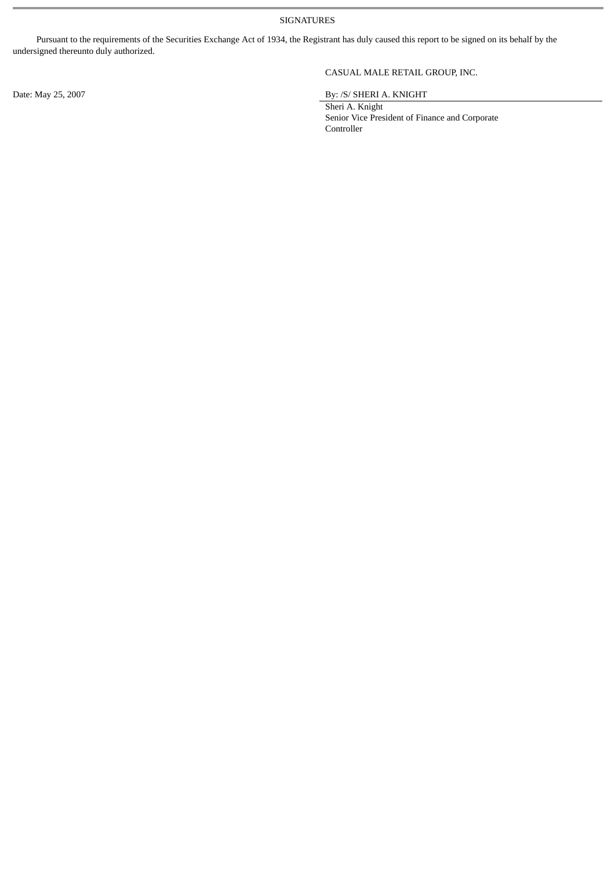SIGNATURES

Pursuant to the requirements of the Securities Exchange Act of 1934, the Registrant has duly caused this report to be signed on its behalf by the undersigned thereunto duly authorized.

## CASUAL MALE RETAIL GROUP, INC.

Date: May 25, 2007 By: /S/ SHERI A. KNIGHT

Sheri A. Knight Senior Vice President of Finance and Corporate Controller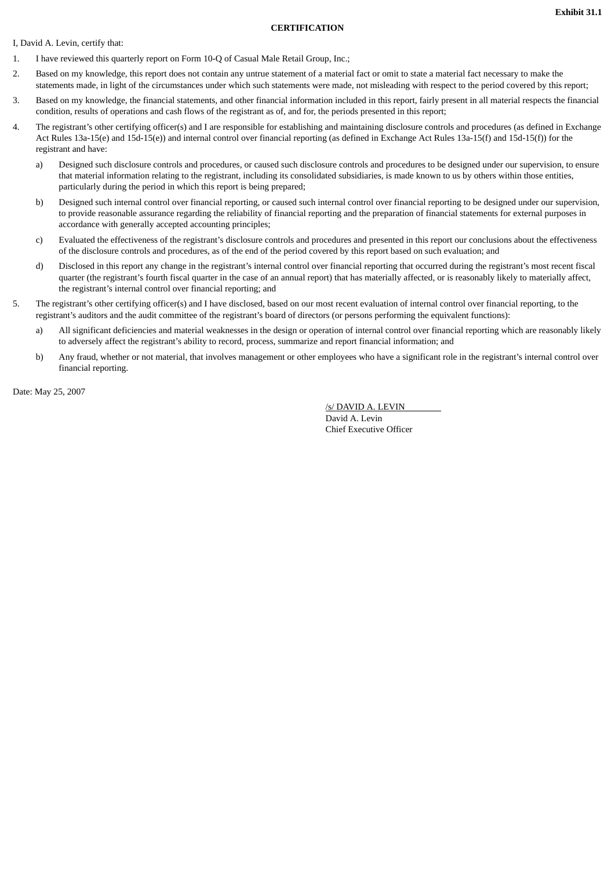#### **CERTIFICATION**

I, David A. Levin, certify that:

- 1. I have reviewed this quarterly report on Form 10-Q of Casual Male Retail Group, Inc.;
- 2. Based on my knowledge, this report does not contain any untrue statement of a material fact or omit to state a material fact necessary to make the statements made, in light of the circumstances under which such statements were made, not misleading with respect to the period covered by this report;
- 3. Based on my knowledge, the financial statements, and other financial information included in this report, fairly present in all material respects the financial condition, results of operations and cash flows of the registrant as of, and for, the periods presented in this report;
- 4. The registrant's other certifying officer(s) and I are responsible for establishing and maintaining disclosure controls and procedures (as defined in Exchange Act Rules 13a-15(e) and 15d-15(e)) and internal control over financial reporting (as defined in Exchange Act Rules 13a-15(f) and 15d-15(f)) for the registrant and have:
	- a) Designed such disclosure controls and procedures, or caused such disclosure controls and procedures to be designed under our supervision, to ensure that material information relating to the registrant, including its consolidated subsidiaries, is made known to us by others within those entities, particularly during the period in which this report is being prepared;
	- b) Designed such internal control over financial reporting, or caused such internal control over financial reporting to be designed under our supervision, to provide reasonable assurance regarding the reliability of financial reporting and the preparation of financial statements for external purposes in accordance with generally accepted accounting principles;
	- c) Evaluated the effectiveness of the registrant's disclosure controls and procedures and presented in this report our conclusions about the effectiveness of the disclosure controls and procedures, as of the end of the period covered by this report based on such evaluation; and
	- d) Disclosed in this report any change in the registrant's internal control over financial reporting that occurred during the registrant's most recent fiscal quarter (the registrant's fourth fiscal quarter in the case of an annual report) that has materially affected, or is reasonably likely to materially affect, the registrant's internal control over financial reporting; and
- 5. The registrant's other certifying officer(s) and I have disclosed, based on our most recent evaluation of internal control over financial reporting, to the registrant's auditors and the audit committee of the registrant's board of directors (or persons performing the equivalent functions):
	- a) All significant deficiencies and material weaknesses in the design or operation of internal control over financial reporting which are reasonably likely to adversely affect the registrant's ability to record, process, summarize and report financial information; and
	- b) Any fraud, whether or not material, that involves management or other employees who have a significant role in the registrant's internal control over financial reporting.

Date: May 25, 2007

/s/ DAVID A. LEVIN David A. Levin

Chief Executive Officer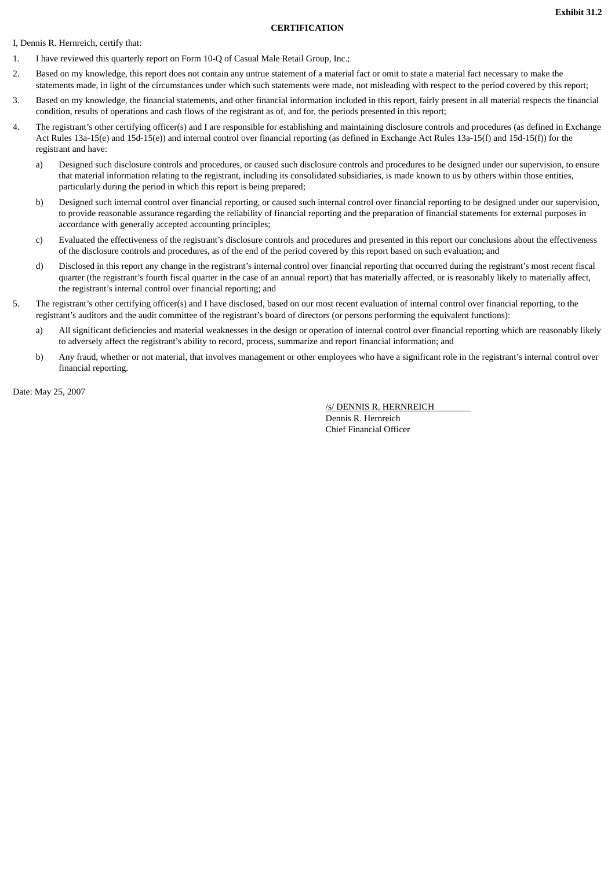#### **CERTIFICATION**

I, Dennis R. Hernreich, certify that:

- 1. I have reviewed this quarterly report on Form 10-Q of Casual Male Retail Group, Inc.;
- 2. Based on my knowledge, this report does not contain any untrue statement of a material fact or omit to state a material fact necessary to make the statements made, in light of the circumstances under which such statements were made, not misleading with respect to the period covered by this report;
- 3. Based on my knowledge, the financial statements, and other financial information included in this report, fairly present in all material respects the financial condition, results of operations and cash flows of the registrant as of, and for, the periods presented in this report;
- 4. The registrant's other certifying officer(s) and I are responsible for establishing and maintaining disclosure controls and procedures (as defined in Exchange Act Rules 13a-15(e) and 15d-15(e)) and internal control over financial reporting (as defined in Exchange Act Rules 13a-15(f) and 15d-15(f)) for the registrant and have:
	- a) Designed such disclosure controls and procedures, or caused such disclosure controls and procedures to be designed under our supervision, to ensure that material information relating to the registrant, including its consolidated subsidiaries, is made known to us by others within those entities, particularly during the period in which this report is being prepared;
	- b) Designed such internal control over financial reporting, or caused such internal control over financial reporting to be designed under our supervision, to provide reasonable assurance regarding the reliability of financial reporting and the preparation of financial statements for external purposes in accordance with generally accepted accounting principles;
	- c) Evaluated the effectiveness of the registrant's disclosure controls and procedures and presented in this report our conclusions about the effectiveness of the disclosure controls and procedures, as of the end of the period covered by this report based on such evaluation; and
	- d) Disclosed in this report any change in the registrant's internal control over financial reporting that occurred during the registrant's most recent fiscal quarter (the registrant's fourth fiscal quarter in the case of an annual report) that has materially affected, or is reasonably likely to materially affect, the registrant's internal control over financial reporting; and
- 5. The registrant's other certifying officer(s) and I have disclosed, based on our most recent evaluation of internal control over financial reporting, to the registrant's auditors and the audit committee of the registrant's board of directors (or persons performing the equivalent functions):
	- a) All significant deficiencies and material weaknesses in the design or operation of internal control over financial reporting which are reasonably likely to adversely affect the registrant's ability to record, process, summarize and report financial information; and
	- b) Any fraud, whether or not material, that involves management or other employees who have a significant role in the registrant's internal control over financial reporting.

Date: May 25, 2007

/s/ DENNIS R. HERNREICH

Dennis R. Hernreich Chief Financial Officer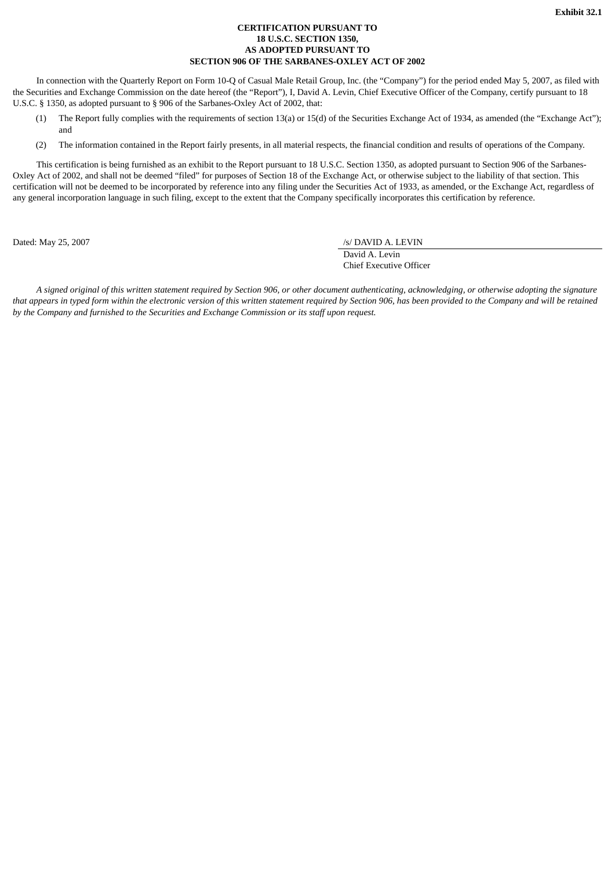#### **CERTIFICATION PURSUANT TO 18 U.S.C. SECTION 1350, AS ADOPTED PURSUANT TO SECTION 906 OF THE SARBANES-OXLEY ACT OF 2002**

In connection with the Quarterly Report on Form 10-Q of Casual Male Retail Group, Inc. (the "Company") for the period ended May 5, 2007, as filed with the Securities and Exchange Commission on the date hereof (the "Report"), I, David A. Levin, Chief Executive Officer of the Company, certify pursuant to 18 U.S.C. § 1350, as adopted pursuant to § 906 of the Sarbanes-Oxley Act of 2002, that:

- (1) The Report fully complies with the requirements of section 13(a) or 15(d) of the Securities Exchange Act of 1934, as amended (the "Exchange Act"); and
- (2) The information contained in the Report fairly presents, in all material respects, the financial condition and results of operations of the Company.

This certification is being furnished as an exhibit to the Report pursuant to 18 U.S.C. Section 1350, as adopted pursuant to Section 906 of the Sarbanes-Oxley Act of 2002, and shall not be deemed "filed" for purposes of Section 18 of the Exchange Act, or otherwise subject to the liability of that section. This certification will not be deemed to be incorporated by reference into any filing under the Securities Act of 1933, as amended, or the Exchange Act, regardless of any general incorporation language in such filing, except to the extent that the Company specifically incorporates this certification by reference.

Dated: May 25, 2007 */s/ DAVID A. LEVIN* 

David A. Levin Chief Executive Officer

*A signed original of this written statement required by Section 906, or other document authenticating, acknowledging, or otherwise adopting the signature that appears in typed form within the electronic version of this written statement required by Section 906, has been provided to the Company and will be retained by the Company and furnished to the Securities and Exchange Commission or its staff upon request.*